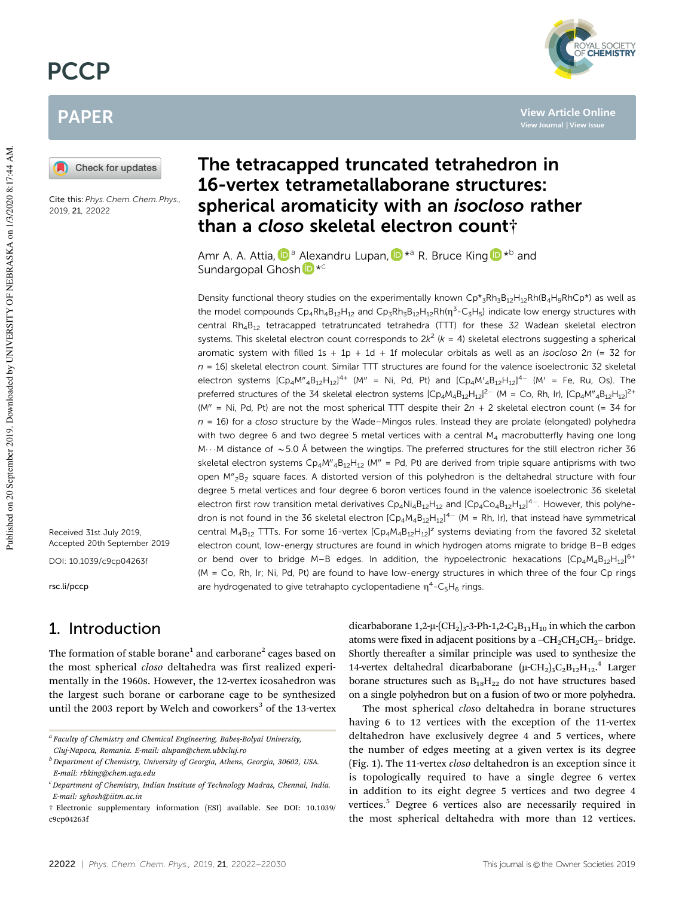# **PCCP**

# PAPER

Check for updates

Cite this: *Phys. Chem. Chem. Phys.,* 2019, 21, 22022

Received 31st July 2019, Accepted 20th September 2019

DOI: 10.1039/c9cp04263f

rsc.li/pccp

## 1. Introduction

The formation of stable borane $^{\rm 1}$  and carborane $^{\rm 2}$  cages based on the most spherical *closo* deltahedra was first realized experimentally in the 1960s. However, the 12-vertex icosahedron was the largest such borane or carborane cage to be synthesized until the 2003 report by Welch and coworkers $3$  of the 13-vertex

# The tetracapped truncated tetrahedron in 16-vertex tetrametallaborane structures: spherical aromaticity with an isocloso rather than a closo skeletal electron count†

Amr A. A. Attia, D<sup>a</sup> Alexandru Lupan, D<sup>\*a</sup> R. Bruce King D<sup>\*b</sup> and Sundargopal Ghosh<sup>D\*c</sup>

Density functional theory studies on the experimentally known  $Cp^*{}_{3}Rh_3B_{12}H_{12}Rh(B_4H_9RhCp^*)$  as well as the model compounds  $\textsf{Cp}_4\textsf{Rh}_4\textsf{B}_{12}\textsf{H}_{12}$  and  $\textsf{Cp}_3\textsf{Rh}_3\textsf{B}_{12}\textsf{H}_{12}\textsf{Rh}(\eta^3\textsf{-C}_3\textsf{H}_5)$  indicate low energy structures with central Rh<sub>4</sub>B<sub>12</sub> tetracapped tetratruncated tetrahedra (TTT) for these 32 Wadean skeletal electron systems. This skeletal electron count corresponds to  $2k^2$  (k = 4) skeletal electrons suggesting a spherical aromatic system with filled  $1s + 1p + 1d + 1f$  molecular orbitals as well as an *isocloso*  $2n$  (= 32 for  $n = 16$ ) skeletal electron count. Similar TTT structures are found for the valence isoelectronic 32 skeletal electron systems  $[Cp_4M''_4B_{12}H_{12}]^{4+}$  (M'' = Ni, Pd, Pt) and  $[Cp_4M'_{4}B_{12}H_{12}]^{4-}$  (M' = Fe, Ru, Os). The preferred structures of the 34 skeletal electron systems  $[Cp_4M_4B_{12}H_{12}]^2$  (M = Co, Rh, Ir),  $[Cp_4M''_4B_{12}H_{12}]^2$ + (M" = Ni, Pd, Pt) are not the most spherical TTT despite their  $2n + 2$  skeletal electron count (= 34 for  $n = 16$ ) for a closo structure by the Wade–Mingos rules. Instead they are prolate (elongated) polyhedra with two degree 6 and two degree 5 metal vertices with a central M<sub>4</sub> macrobutterfly having one long M $\cdots$ M distance of  $\sim$  5.0 Å between the wingtips. The preferred structures for the still electron richer 36 skeletal electron systems  $Cp_4 M''_4 B_{12}H_{12}$  (M<sup>n</sup> = Pd, Pt) are derived from triple square antiprisms with two open M"<sub>2</sub>B<sub>2</sub> square faces. A distorted version of this polyhedron is the deltahedral structure with four degree 5 metal vertices and four degree 6 boron vertices found in the valence isoelectronic 36 skeletal electron first row transition metal derivatives  $Cp_4Ni_4B_{12}H_{12}$  and  $[Cp_4Co_4B_{12}H_{12}]^{4-}$ . However, this polyhedron is not found in the 36 skeletal electron  $[Cp_4M_4B_{12}H_{12}]^{4-}$  (M = Rh, Ir), that instead have symmetrical central  $M_4B_{12}$  TTTs. For some 16-vertex  $[Cp_4M_4B_{12}H_{12}]^2$  systems deviating from the favored 32 skeletal electron count, low-energy structures are found in which hydrogen atoms migrate to bridge B–B edges or bend over to bridge M-B edges. In addition, the hypoelectronic hexacations  $[Cp_4M_4B_{12}H_{12}]^{6+}$ (M = Co, Rh, Ir; Ni, Pd, Pt) are found to have low-energy structures in which three of the four Cp rings are hydrogenated to give tetrahapto cyclopentadiene  $\eta^4$ -C<sub>5</sub>H<sub>6</sub> rings.

> dicarbaborane  $1,2-\mu$ -(CH<sub>2</sub>)<sub>3</sub>-3-Ph-1,2-C<sub>2</sub>B<sub>11</sub>H<sub>10</sub> in which the carbon atoms were fixed in adjacent positions by a  $-CH_2CH_2CH_2$ – bridge. Shortly thereafter a similar principle was used to synthesize the 14-vertex deltahedral dicarbaborane  $(\mu$ -CH<sub>2</sub>)<sub>3</sub>C<sub>2</sub>B<sub>12</sub>H<sub>12</sub>.<sup>4</sup> Larger borane structures such as  $B_{18}H_{22}$  do not have structures based on a single polyhedron but on a fusion of two or more polyhedra.

> The most spherical *clos*o deltahedra in borane structures having 6 to 12 vertices with the exception of the 11-vertex deltahedron have exclusively degree 4 and 5 vertices, where the number of edges meeting at a given vertex is its degree (Fig. 1). The 11-vertex *closo* deltahedron is an exception since it is topologically required to have a single degree 6 vertex in addition to its eight degree 5 vertices and two degree 4 vertices.<sup>5</sup> Degree 6 vertices also are necessarily required in the most spherical deltahedra with more than 12 vertices.

**View Article Online**

*MAL SOCIETY*<br>**CHEMISTRY** 

*a Faculty of Chemistry and Chemical Engineering, Babes*-*-Bolyai University,*

*Cluj-Napoca, Romania. E-mail: alupan@chem.ubbcluj.ro*

*<sup>b</sup> Department of Chemistry, University of Georgia, Athens, Georgia, 30602, USA. E-mail: rbking@chem.uga.edu*

*<sup>c</sup>Department of Chemistry, Indian Institute of Technology Madras, Chennai, India. E-mail: sghosh@iitm.ac.in*

<sup>†</sup> Electronic supplementary information (ESI) available. See DOI: 10.1039/ c9cp04263f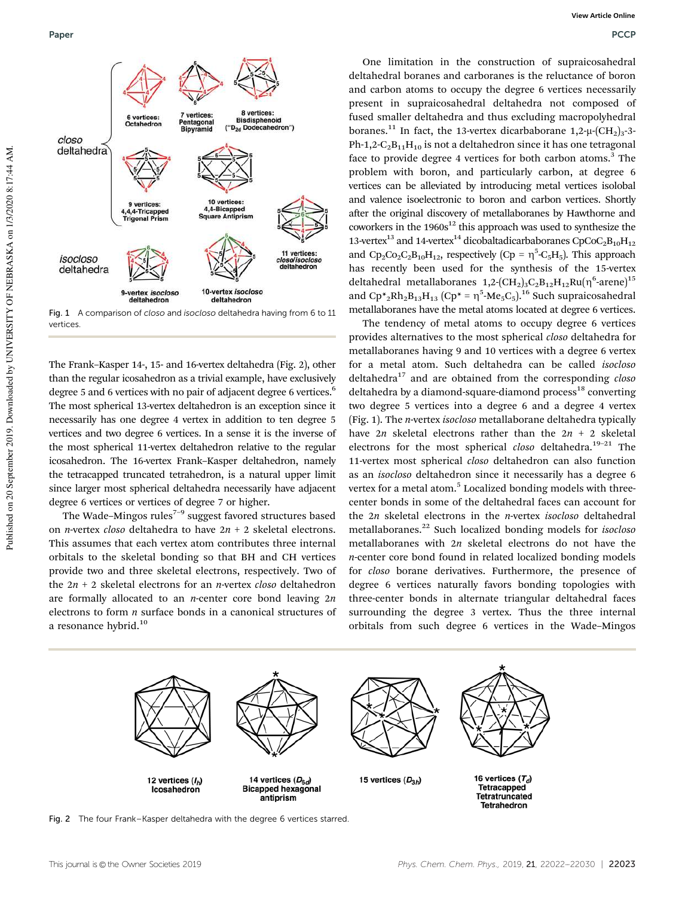

Fig. 1 A comparison of closo and isocloso deltahedra having from 6 to 11 vertices.

The Frank–Kasper 14-, 15- and 16-vertex deltahedra (Fig. 2), other than the regular icosahedron as a trivial example, have exclusively degree 5 and 6 vertices with no pair of adjacent degree 6 vertices.<sup>6</sup> The most spherical 13-vertex deltahedron is an exception since it necessarily has one degree 4 vertex in addition to ten degree 5 vertices and two degree 6 vertices. In a sense it is the inverse of the most spherical 11-vertex deltahedron relative to the regular icosahedron. The 16-vertex Frank–Kasper deltahedron, namely the tetracapped truncated tetrahedron, is a natural upper limit since larger most spherical deltahedra necessarily have adjacent degree 6 vertices or vertices of degree 7 or higher.

The Wade–Mingos rules<sup> $7-9$ </sup> suggest favored structures based on *n*-vertex *closo* deltahedra to have 2*n* + 2 skeletal electrons. This assumes that each vertex atom contributes three internal orbitals to the skeletal bonding so that BH and CH vertices provide two and three skeletal electrons, respectively. Two of the 2*n* + 2 skeletal electrons for an *n*-vertex *closo* deltahedron are formally allocated to an *n*-center core bond leaving 2*n* electrons to form *n* surface bonds in a canonical structures of a resonance hybrid.<sup>10</sup>

One limitation in the construction of supraicosahedral deltahedral boranes and carboranes is the reluctance of boron and carbon atoms to occupy the degree 6 vertices necessarily present in supraicosahedral deltahedra not composed of fused smaller deltahedra and thus excluding macropolyhedral boranes.<sup>11</sup> In fact, the 13-vertex dicarbaborane  $1,2-\mu$ - $\text{CH}_2$ )<sub>3</sub>-3-Ph-1,2- $C_2B_{11}H_{10}$  is not a deltahedron since it has one tetragonal face to provide degree 4 vertices for both carbon atoms.<sup>3</sup> The problem with boron, and particularly carbon, at degree 6 vertices can be alleviated by introducing metal vertices isolobal and valence isoelectronic to boron and carbon vertices. Shortly after the original discovery of metallaboranes by Hawthorne and coworkers in the  $1960s^{12}$  this approach was used to synthesize the 13-vertex<sup>13</sup> and 14-vertex<sup>14</sup> dicobaltadicarbaboranes CpCoC<sub>2</sub>B<sub>10</sub>H<sub>12</sub> and  $\text{Cp}_2\text{Co}_2\text{C}_2\text{B}_{10}\text{H}_{12}$ , respectively (Cp =  $\eta^5$ -C<sub>5</sub>H<sub>5</sub>). This approach has recently been used for the synthesis of the 15-vertex deltahedral metallaboranes 1,2- ${\rm (CH_2)_3 C_2 B_{12} H_{12} Ru} (\eta^6$ -arene ${\rm )}^{15}$ and  $Cp_{2}^{*}Rh_{2}B_{13}H_{13}$  ( $Cp_{2}^{*} = \eta_{2}^{5}Me_{5}C_{5}$ ).<sup>16</sup> Such supraicosahedral metallaboranes have the metal atoms located at degree 6 vertices.

The tendency of metal atoms to occupy degree 6 vertices provides alternatives to the most spherical *closo* deltahedra for metallaboranes having 9 and 10 vertices with a degree 6 vertex for a metal atom. Such deltahedra can be called *isocloso* deltahedra<sup>17</sup> and are obtained from the corresponding *closo* deltahedra by a diamond-square-diamond process<sup>18</sup> converting two degree 5 vertices into a degree 6 and a degree 4 vertex (Fig. 1). The *n*-vertex *isocloso* metallaborane deltahedra typically have 2*n* skeletal electrons rather than the 2*n* + 2 skeletal electrons for the most spherical *closo* deltahedra.<sup>19-21</sup> The 11-vertex most spherical *closo* deltahedron can also function as an *isocloso* deltahedron since it necessarily has a degree 6 vertex for a metal atom.<sup>5</sup> Localized bonding models with threecenter bonds in some of the deltahedral faces can account for the 2*n* skeletal electrons in the *n*-vertex *isocloso* deltahedral metallaboranes.<sup>22</sup> Such localized bonding models for *isocloso* metallaboranes with 2*n* skeletal electrons do not have the *n*-center core bond found in related localized bonding models for *closo* borane derivatives. Furthermore, the presence of degree 6 vertices naturally favors bonding topologies with three-center bonds in alternate triangular deltahedral faces surrounding the degree 3 vertex. Thus the three internal orbitals from such degree 6 vertices in the Wade–Mingos



Fig. 2 The four Frank–Kasper deltahedra with the degree 6 vertices starred.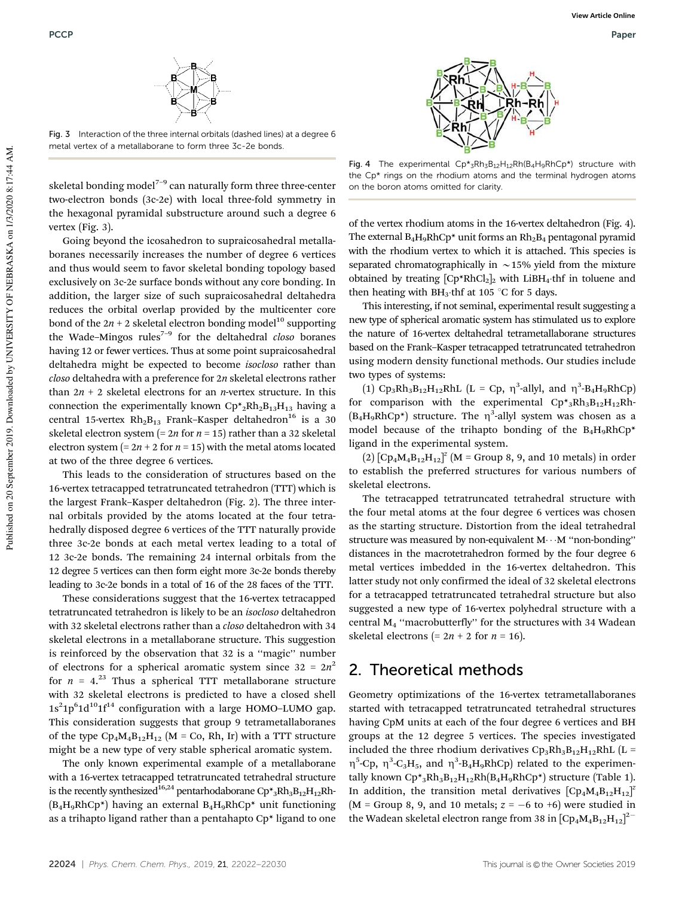

Fig. 3 Interaction of the three internal orbitals (dashed lines) at a degree 6 metal vertex of a metallaborane to form three 3c-2e bonds.

skeletal bonding model<sup> $7-9$ </sup> can naturally form three three-center two-electron bonds (3c-2e) with local three-fold symmetry in the hexagonal pyramidal substructure around such a degree 6 vertex (Fig. 3).

Going beyond the icosahedron to supraicosahedral metallaboranes necessarily increases the number of degree 6 vertices and thus would seem to favor skeletal bonding topology based exclusively on 3c-2e surface bonds without any core bonding. In addition, the larger size of such supraicosahedral deltahedra reduces the orbital overlap provided by the multicenter core bond of the  $2n + 2$  skeletal electron bonding model<sup>10</sup> supporting the Wade–Mingos rules7–9 for the deltahedral *closo* boranes having 12 or fewer vertices. Thus at some point supraicosahedral deltahedra might be expected to become *isocloso* rather than *closo* deltahedra with a preference for 2*n* skeletal electrons rather than  $2n + 2$  skeletal electrons for an *n*-vertex structure. In this connection the experimentally known  $\text{Cp*}_2\text{Rh}_2\text{B}_{13}\text{H}_{13}$  having a central 15-vertex  $Rh_2B_{13}$  Frank–Kasper deltahedron<sup>16</sup> is a 30 skeletal electron system  $(= 2n$  for  $n = 15)$  rather than a 32 skeletal electron system  $(= 2n + 2$  for  $n = 15)$  with the metal atoms located at two of the three degree 6 vertices.

This leads to the consideration of structures based on the 16-vertex tetracapped tetratruncated tetrahedron (TTT) which is the largest Frank–Kasper deltahedron (Fig. 2). The three internal orbitals provided by the atoms located at the four tetrahedrally disposed degree 6 vertices of the TTT naturally provide three 3c-2e bonds at each metal vertex leading to a total of 12 3c-2e bonds. The remaining 24 internal orbitals from the 12 degree 5 vertices can then form eight more 3c-2e bonds thereby leading to 3c-2e bonds in a total of 16 of the 28 faces of the TTT.

These considerations suggest that the 16-vertex tetracapped tetratruncated tetrahedron is likely to be an *isocloso* deltahedron with 32 skeletal electrons rather than a *closo* deltahedron with 34 skeletal electrons in a metallaborane structure. This suggestion is reinforced by the observation that 32 is a ''magic'' number of electrons for a spherical aromatic system since  $32 = 2n^2$ for  $n = 4^{23}$  Thus a spherical TTT metallaborane structure with 32 skeletal electrons is predicted to have a closed shell  $1s<sup>2</sup>1p<sup>6</sup>1d<sup>10</sup>1f<sup>14</sup>$  configuration with a large HOMO-LUMO gap. This consideration suggests that group 9 tetrametallaboranes of the type  $\text{Cp}_4\text{M}_4\text{B}_{12}\text{H}_{12}$  (M = Co, Rh, Ir) with a TTT structure might be a new type of very stable spherical aromatic system.

The only known experimental example of a metallaborane with a 16-vertex tetracapped tetratruncated tetrahedral structure is the recently synthesized  $^{16,24}$  pentarhodaborane  $\mathrm{Cp^*}_3\mathrm{Rh}_3\mathrm{B}_{12}\mathrm{H}_{12}\mathrm{Rh}$  $(B_4H_9RhCp^*)$  having an external  $B_4H_9RhCp^*$  unit functioning as a trihapto ligand rather than a pentahapto Cp\* ligand to one



Fig. 4 The experimental  $Cp^*{}_{3}Rh_{3}B_{12}H_{12}Rh(B_4H_9RhCp^*)$  structure with the Cp\* rings on the rhodium atoms and the terminal hydrogen atoms on the boron atoms omitted for clarity.

of the vertex rhodium atoms in the 16-vertex deltahedron (Fig. 4). The external  $B_4H_9RhCp^*$  unit forms an  $Rh_2B_4$  pentagonal pyramid with the rhodium vertex to which it is attached. This species is separated chromatographically in  $\sim$  15% yield from the mixture obtained by treating  $[CP^*RhCl_2]_2$  with LiBH<sub>4</sub>thf in toluene and then heating with  $BH_3$ thf at 105 °C for 5 days.

This interesting, if not seminal, experimental result suggesting a new type of spherical aromatic system has stimulated us to explore the nature of 16-vertex deltahedral tetrametallaborane structures based on the Frank–Kasper tetracapped tetratruncated tetrahedron using modern density functional methods. Our studies include two types of systems:

(1)  $\text{Cp}_3 \text{Rh}_3 \text{B}_{12} \text{H}_{12} \text{Rh}$ L (L = Cp,  $\eta^3$ -allyl, and  $\eta^3$ -B<sub>4</sub>H<sub>9</sub>RhCp) for comparison with the experimental  $\text{Cp*}_3\text{Rh}_3\text{B}_{12}\text{H}_{12}\text{Rh}$ - $(B_4H_9RhCp^*)$  structure. The  $\eta^3$ -allyl system was chosen as a model because of the trihapto bonding of the  $B_4H_9RhCp^*$ ligand in the experimental system.

 $(2)$   $[Cp_4M_4B_{12}H_{12}]^z$   $(M = Group 8, 9, and 10 metals)$  in order to establish the preferred structures for various numbers of skeletal electrons.

The tetracapped tetratruncated tetrahedral structure with the four metal atoms at the four degree 6 vertices was chosen as the starting structure. Distortion from the ideal tetrahedral structure was measured by non-equivalent  $M \cdots M$  "non-bonding" distances in the macrotetrahedron formed by the four degree 6 metal vertices imbedded in the 16-vertex deltahedron. This latter study not only confirmed the ideal of 32 skeletal electrons for a tetracapped tetratruncated tetrahedral structure but also suggested a new type of 16-vertex polyhedral structure with a central M<sup>4</sup> ''macrobutterfly'' for the structures with 34 Wadean skeletal electrons  $(= 2n + 2$  for  $n = 16)$ .

#### 2. Theoretical methods

Geometry optimizations of the 16-vertex tetrametallaboranes started with tetracapped tetratruncated tetrahedral structures having CpM units at each of the four degree 6 vertices and BH groups at the 12 degree 5 vertices. The species investigated included the three rhodium derivatives  $\text{Cp}_3\text{Rh}_3\text{B}_{12}\text{H}_{12}\text{Rh}$  (L =  $\eta^5$ -Cp,  $\eta^3$ -C<sub>3</sub>H<sub>5</sub>, and  $\eta^3$ -B<sub>4</sub>H<sub>9</sub>RhCp) related to the experimentally known  $\mathbb{C}p^*_{3}Rh_3B_{12}H_{12}Rh(B_4H_9Rh\mathbb{C}p^*)$  structure (Table 1). In addition, the transition metal derivatives  $[Cp_4M_4B_{12}H_{12}]^2$  $(M = Group 8, 9, and 10 metals; z = -6 to +6)$  were studied in the Wadean skeletal electron range from 38 in  $[Cp_4M_4B_{12}H_{12}]^2$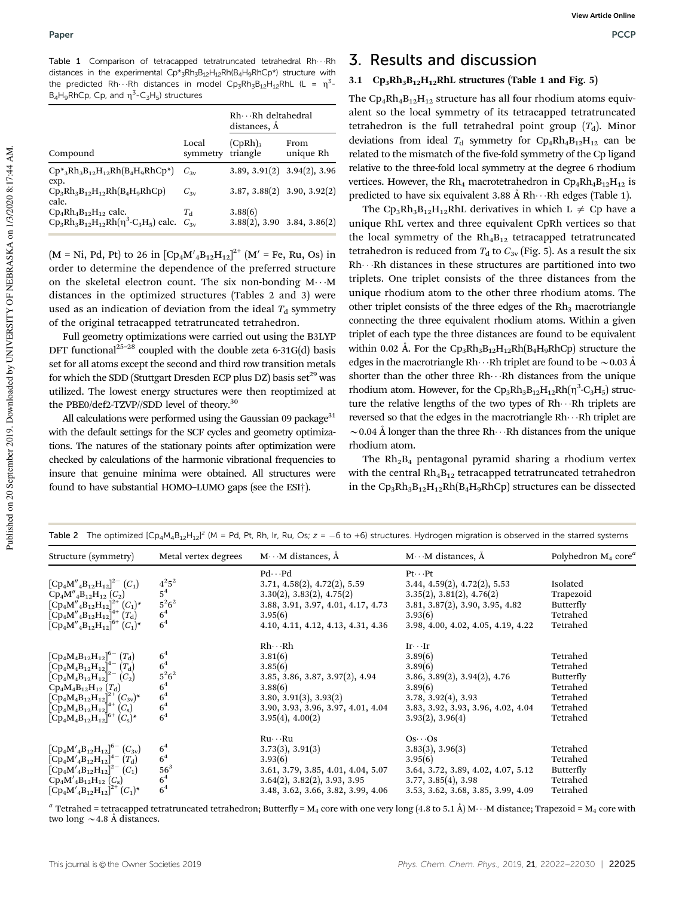Table 1 Comparison of tetracapped tetratruncated tetrahedral Rh $\cdots$ Rh distances in the experimental  $Cp*_{3}Rh_{3}B_{12}H_{12}Rh(B_{4}H_{9}RhCp*)$  structure with the predicted Rh $\cdots$ Rh distances in model Cp<sub>3</sub>Rh<sub>3</sub>B<sub>12</sub>H<sub>12</sub>RhL (L =  $\eta^3$ - $B_4H_9RhCp$ , Cp, and  $\eta^3$ -C<sub>3</sub>H<sub>5</sub>) structures

|                                                                                                                       |                   | $Rh \cdots Rh$ deltahedral<br>distances, A |                                       |  |
|-----------------------------------------------------------------------------------------------------------------------|-------------------|--------------------------------------------|---------------------------------------|--|
| Compound                                                                                                              | Local<br>symmetry | $(CpRh)_{3}$<br>triangle                   | From<br>unique Rh                     |  |
| $\text{Cp*}_3\text{Rh}_3\text{B}_{12}\text{H}_{12}\text{Rh}(\text{B}_4\text{H}_9\text{Rh} \text{Cp*})$<br>exp.        | $C_{3v}$          |                                            | $3.89, 3.91(2)$ $3.94(2), 3.96$       |  |
| $\text{Cp}_3\text{Rh}_3\text{B}_{12}\text{H}_{12}\text{Rh}(\text{B}_4\text{H}_9\text{RhCp})$<br>calc.                 | $C_{3v}$          |                                            | $3.87, 3.88(2)$ $3.90, 3.92(2)$       |  |
| $\text{Cp}_4 \text{Rh}_4 \text{B}_{12} \text{H}_{12}$ calc.<br>$Cp_3Rh_3B_{12}H_{12}Rh(\eta^3-C_3H_5)$ calc. $C_{3y}$ | $T_A$             | 3.88(6)                                    | $3.88(2)$ , $3.90$ $3.84$ , $3.86(2)$ |  |

 $(M = Ni, Pd, Pt)$  to 26 in  $[Cp_4M'_{4}B_{12}H_{12}]^{2+}$   $(M' = Fe, Ru, Os)$  in order to determine the dependence of the preferred structure on the skeletal electron count. The six non-bonding  $M \cdot M$ distances in the optimized structures (Tables 2 and 3) were used as an indication of deviation from the ideal  $T<sub>d</sub>$  symmetry of the original tetracapped tetratruncated tetrahedron.

Full geometry optimizations were carried out using the B3LYP DFT functional<sup>25-28</sup> coupled with the double zeta 6-31G(d) basis set for all atoms except the second and third row transition metals for which the SDD (Stuttgart Dresden ECP plus DZ) basis set $^{29}$  was utilized. The lowest energy structures were then reoptimized at the PBE0/def2-TZVP//SDD level of theory.<sup>30</sup>

All calculations were performed using the Gaussian 09 package $31$ with the default settings for the SCF cycles and geometry optimizations. The natures of the stationary points after optimization were checked by calculations of the harmonic vibrational frequencies to insure that genuine minima were obtained. All structures were found to have substantial HOMO–LUMO gaps (see the ESI†).

## 3. Results and discussion

#### 3.1  $\text{Cp}_3\text{Rh}_3\text{B}_{12}\text{H}_{12}\text{Rh}$ L structures (Table 1 and Fig. 5)

The  $\text{Cp}_4\text{Rh}_4\text{B}_{12}\text{H}_{12}$  structure has all four rhodium atoms equivalent so the local symmetry of its tetracapped tetratruncated tetrahedron is the full tetrahedral point group  $(T_d)$ . Minor deviations from ideal  $T_d$  symmetry for  $Cp_4Rh_4B_{12}H_{12}$  can be related to the mismatch of the five-fold symmetry of the Cp ligand relative to the three-fold local symmetry at the degree 6 rhodium vertices. However, the Rh<sub>4</sub> macrotetrahedron in  $\text{Cp}_4\text{Rh}_4\text{B}_{12}\text{H}_{12}$  is predicted to have six equivalent 3.88 Å Rh $\cdots$ Rh edges (Table 1).

The Cp<sub>3</sub>Rh<sub>3</sub>B<sub>12</sub>H<sub>12</sub>RhL derivatives in which L  $\neq$  Cp have a unique RhL vertex and three equivalent CpRh vertices so that the local symmetry of the  $Rh<sub>4</sub>B<sub>12</sub>$  tetracapped tetratruncated tetrahedron is reduced from  $T<sub>d</sub>$  to  $C<sub>3v</sub>$  (Fig. 5). As a result the six  $Rh \cdot \cdot Rh$  distances in these structures are partitioned into two triplets. One triplet consists of the three distances from the unique rhodium atom to the other three rhodium atoms. The other triplet consists of the three edges of the  $Rh<sub>3</sub>$  macrotriangle connecting the three equivalent rhodium atoms. Within a given triplet of each type the three distances are found to be equivalent within 0.02 Å. For the  $\text{Cp}_3\text{Rh}_3\text{B}_{12}\text{H}_{12}\text{Rh}(\text{B}_4\text{H}_9\text{R}\text{h}\text{Cp})$  structure the edges in the macrotriangle Rh $\cdots$ Rh triplet are found to be  $\sim$  0.03 Å shorter than the other three Rh $\cdots$ Rh distances from the unique rhodium atom. However, for the  $\text{Cp}_3\text{Rh}_3\text{B}_{12}\text{H}_{12}\text{Rh}(\eta^3\text{-C}_3\text{H}_5)$  structure the relative lengths of the two types of  $Rh \cdot \cdot Rh$  triplets are reversed so that the edges in the macrotriangle  $Rh \cdot \cdot Rh$  triplet are  $\sim$  0.04 Å longer than the three Rh $\cdots$ Rh distances from the unique rhodium atom.

The  $Rh_2B_4$  pentagonal pyramid sharing a rhodium vertex with the central  $Rh_4B_{12}$  tetracapped tetratruncated tetrahedron in the  $\text{Cp}_3\text{Rh}_3\text{B}_{12}\text{H}_{12}\text{Rh}(\text{B}_4\text{H}_9\text{Rh}C\text{p})$  structures can be dissected

| Structure (symmetry)                            | Metal vertex degrees               | $M \cdot \cdot M$ distances, $\dot{A}$  | $M \cdots M$ distances, $\AA$      | Polyhedron $M_4$ core <sup>6</sup> |  |
|-------------------------------------------------|------------------------------------|-----------------------------------------|------------------------------------|------------------------------------|--|
|                                                 |                                    | $Pd \cdots Pd$                          | $Pt \cdot \cdot Pt$                |                                    |  |
| $[Cp_4M''_4B_{12}H_{12}]^{2-}(C_1)$             | $4^{2}5^{2}$                       | 3.71, 4.58(2), 4.72(2), 5.59            | 3.44, 4.59(2), 4.72(2), 5.53       | Isolated                           |  |
| $\rm Cp_4M''_4B_{12}H_{12}$ $(C_2)$             | 5 <sup>4</sup>                     | 3.30(2), 3.83(2), 4.75(2)               | 3.35(2), 3.81(2), 4.76(2)          | Trapezoid                          |  |
| $[Cp_4M''_4B_{12}H_{12}]^{2+}(C_1)^*$           | $5^2 6^2$                          | 3.88, 3.91, 3.97, 4.01, 4.17, 4.73      | 3.81, 3.87(2), 3.90, 3.95, 4.82    | Butterfly                          |  |
| $[Cp_4M''_4B_{12}H_{12}]^{4+}(T_d)$             | 6 <sup>4</sup>                     | 3.95(6)                                 | 3.93(6)                            | Tetrahed                           |  |
| $[Cp_4M''_4B_{12}H_{12}]^{6+} (C_1)^*$          | 6 <sup>4</sup>                     | 4.10, 4.11, 4.12, 4.13, 4.31, 4.36      | 3.98, 4.00, 4.02, 4.05, 4.19, 4.22 | Tetrahed                           |  |
|                                                 |                                    | $Rh \cdots Rh$                          | $Ir \cdot \cdot Ir$                |                                    |  |
| $[Cp_4M_4B_{12}H_{12}]^{6-}$ $(T_d)$            | 6 <sup>4</sup>                     | 3.81(6)                                 | 3.89(6)                            | Tetrahed                           |  |
| $\rm [Cp_4M_4B_{12}H_{12}]^{4-}$ $(T_d)$        | $6^{4}$<br>$5^{2}6^{2}$<br>$6^{4}$ | 3.85(6)                                 | 3.89(6)                            | Tetrahed                           |  |
| $[Cp_4M_4B_{12}H_{12}]^{2-} (C_2)$              |                                    | 3.85, 3.86, 3.87, 3.97(2), 4.94         | 3.86, 3.89(2), 3.94(2), 4.76       | Butterfly                          |  |
| $Cp_4M_4B_{12}H_{12} (T_d)$                     |                                    | 3.88(6)                                 | 3.89(6)                            | Tetrahed                           |  |
| $[\text{Cp}_4M_4B_{12}H_{12}]^{2+}(C_{3v})^*$   | 6 <sup>4</sup>                     | 3.80, 3.91(3), 3.93(2)                  | 3.78, 3.92(4), 3.93                | Tetrahed                           |  |
| $[Cp_4M_4B_{12}H_{12}]^{4+}(C_s)$               | 6 <sup>4</sup>                     | 3.90, 3.93, 3.96, 3.97, 4.01, 4.04      | 3.83, 3.92, 3.93, 3.96, 4.02, 4.04 | Tetrahed                           |  |
| $[Cp_4M_4B_{12}H_{12}]^{6+} (C_8)^*$            | 6 <sup>4</sup>                     | 3.95(4), 4.00(2)                        | 3.93(2), 3.96(4)                   | Tetrahed                           |  |
|                                                 |                                    | $Ru \cdots Ru$                          | $Os \cdot \cdot OS$                |                                    |  |
| $[Cp_4M'_{4}B_{12}H_{12}]^{6-}$ $(C_{3v})$      | 6 <sup>4</sup>                     | 3.73(3), 3.91(3)                        | 3.83(3), 3.96(3)                   | Tetrahed                           |  |
| $\rm [Cp_4M'_{4}B_{12}H_{12}]^{4-}$ $\rm (T_d)$ | 6 <sup>4</sup>                     | 3.93(6)                                 | 3.95(6)                            | Tetrahed                           |  |
| $[Cp_4M'_{4}B_{12}H_{12}]^{2-}(C_1)$            | $56^3$                             | 3.61, 3.79, 3.85, 4.01, 4.04, 5.07      | 3.64, 3.72, 3.89, 4.02, 4.07, 5.12 | <b>Butterfly</b>                   |  |
| $\rm{Cp_4M'_{4}B_{12}H_{12}}$ $(C_8)$           | 6 <sup>4</sup>                     | $3.64(2)$ , $3.82(2)$ , $3.93$ , $3.95$ | 3.77, 3.85(4), 3.98                | Tetrahed                           |  |
| $[Cp_4M'_{4}B_{12}H_{12}]^{2+}(C_1)^*$          | 6 <sup>4</sup>                     | 3.48, 3.62, 3.66, 3.82, 3.99, 4.06      | 3.53, 3.62, 3.68, 3.85, 3.99, 4.09 | Tetrahed                           |  |
|                                                 |                                    |                                         |                                    |                                    |  |

Table 2 The optimized  $[Cp_4M_4B_{12}H_{12}]^z$  (M = Pd, Pt, Rh, Ir, Ru, Os;  $z = -6$  to +6) structures. Hydrogen migration is observed in the starred systems

 $^a$  Tetrahed = tetracapped tetratruncated tetrahedron; Butterfly = M<sub>4</sub> core with one very long (4.8 to 5.1 Å) M···M distance; Trapezoid = M<sub>4</sub> core with two long  $\sim$  4.8 Å distances.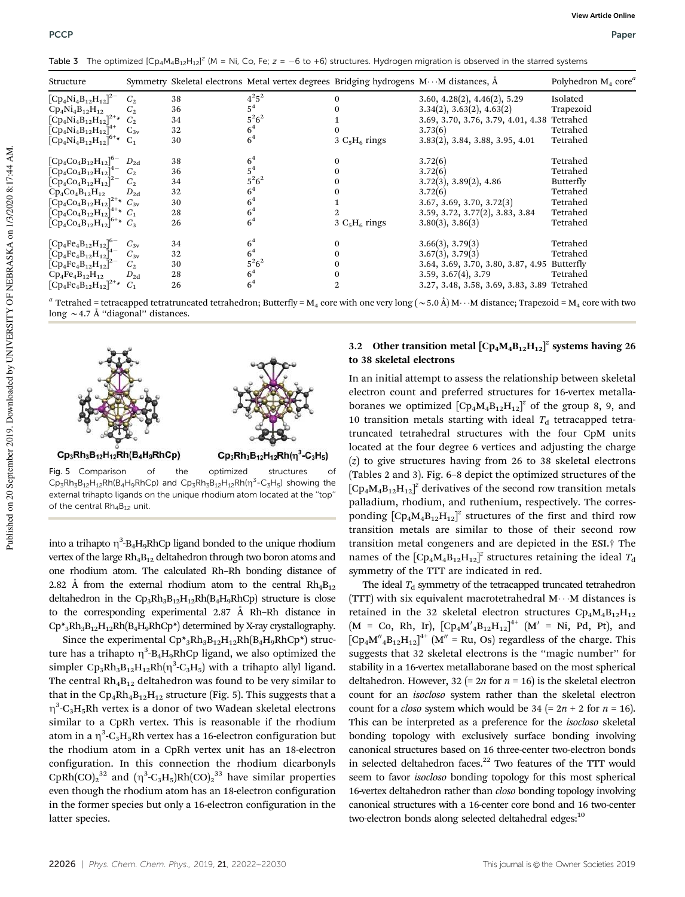PCCP Paper

Table 3 The optimized  $[Cp_4M_4B_{12}H_{12}]^z$  (M = Ni, Co, Fe; z = -6 to +6) structures. Hydrogen migration is observed in the starred systems

| Structure                                    |                |    | Symmetry Skeletal electrons Metal vertex degrees Bridging hydrogens M···M distances, Å |                                |                                               | Polyhedron $M_4$ core <sup><i>a</i></sup> |
|----------------------------------------------|----------------|----|----------------------------------------------------------------------------------------|--------------------------------|-----------------------------------------------|-------------------------------------------|
| $[Cp_4Ni_4B_{12}H_{12}]^{2-}$                | C <sub>2</sub> | 38 | $4^{2}5^{2}$                                                                           | 0                              | 3.60, 4.28(2), 4.46(2), 5.29                  | Isolated                                  |
| $Cp_4Ni_4B_{12}H_{12}$                       | $C_2$          | 36 | $5^4$                                                                                  |                                | 3.34(2), 3.63(2), 4.63(2)                     | Trapezoid                                 |
| $[Cp_4Ni_4B_{12}H_{12}]^{2+}$ $C_2$          |                | 34 | $5^26^2$                                                                               |                                | 3.69, 3.70, 3.76, 3.79, 4.01, 4.38 Tetrahed   |                                           |
| $[Cp_4Ni_4B_{12}H_{12}]^{4+}$ $C_{3v}$       |                | 32 | 6 <sup>4</sup>                                                                         | 0                              | 3.73(6)                                       | Tetrahed                                  |
| $[Cp_4Ni_4B_{12}H_{12}]^{6+}$ C <sub>1</sub> |                | 30 | 6 <sup>4</sup>                                                                         | $3\text{ C}_5\text{H}_6$ rings | $3.83(2)$ , $3.84$ , $3.88$ , $3.95$ , $4.01$ | Tetrahed                                  |
| $[Cp_4Co_4B_{12}H_{12}]^{6-}$                | $D_{2d}$       | 38 | 6 <sup>4</sup>                                                                         | 0                              | 3.72(6)                                       | Tetrahed                                  |
| $[Cp_4Co_4B_{12}H_{12}]^{4-}$                | $C_2$          | 36 | $5^4$                                                                                  | 0                              | 3.72(6)                                       | Tetrahed                                  |
| $[Cp_4Co_4B_{12}H_{12}]^{2-}C_2$             |                | 34 | $5^2 6^2$                                                                              | 0                              | $3.72(3)$ , $3.89(2)$ , $4.86$                | Butterfly                                 |
| $Cp_{4}Co_{4}B_{12}H_{12}$                   | $D_{2d}$       | 32 | 6 <sup>4</sup>                                                                         | 0                              | 3.72(6)                                       | Tetrahed                                  |
| $[Cp_4Co_4B_{12}H_{12}]^{2+}$ $C_{3v}$       |                | 30 | 6 <sup>4</sup>                                                                         |                                | 3.67, 3.69, 3.70, 3.72(3)                     | Tetrahed                                  |
| $[Cp_4Co_4B_{12}H_{12}]^{4+}$ $C_1$          |                | 28 | 6 <sup>4</sup>                                                                         | 2.                             | 3.59, 3.72, 3.77(2), 3.83, 3.84               | Tetrahed                                  |
| $[Cp_4Co_4B_{12}H_{12}]^{6+}$ $C_3$          |                | 26 | 6 <sup>4</sup>                                                                         | 3 $C_5H_6$ rings               | 3.80(3), 3.86(3)                              | Tetrahed                                  |
| $[Cp_4Fe_4B_{12}H_{12}]^{6-}$                | $C_{3v}$       | 34 | 6 <sup>4</sup>                                                                         | 0                              | 3.66(3), 3.79(3)                              | Tetrahed                                  |
| $[Cp_4Fe_4B_{12}H_{12}]^{4-}$                | $C_{3v}$       | 32 | 6 <sup>4</sup>                                                                         | 0                              | 3.67(3), 3.79(3)                              | Tetrahed                                  |
| $[Cp_4Fe_4B_{12}H_{12}]^{2-}C_2$             |                | 30 | $5^26^2$                                                                               | 0                              | 3.64, 3.69, 3.70, 3.80, 3.87, 4.95 Butterfly  |                                           |
| $Cp_4Fe_4B_{12}H_{12}$                       | $D_{2d}$       | 28 | 6 <sup>4</sup>                                                                         | 0                              | 3.59, 3.67(4), 3.79                           | Tetrahed                                  |
| $[Cp_4Fe_4B_{12}H_{12}]^{2+}$ $C_1$          |                | 26 | 6 <sup>4</sup>                                                                         | 2                              | 3.27, 3.48, 3.58, 3.69, 3.83, 3.89 Tetrahed   |                                           |

 $^a$  Tetrahed = tetracapped tetratruncated tetrahedron; Butterfly = M<sub>4</sub> core with one very long ( $\sim$  5.0 Å) M  $\cdots$  M distance; Trapezoid = M<sub>4</sub> core with two long  $\sim$  4.7 Å "diagonal" distances.



 $\mathsf{Cp}_3\mathsf{Rh}_3\mathsf{B}_{12}\mathsf{H}_{12}\mathsf{Rh}(\mathsf{B}_4\mathsf{H}_9\mathsf{R}\mathsf{h}\mathsf{Cp})$  and  $\mathsf{Cp}_3\mathsf{Rh}_3\mathsf{B}_{12}\mathsf{H}_{12}\mathsf{Rh}(\eta^3\text{-}\mathsf{C}_3\mathsf{H}_5)$  showing the external trihapto ligands on the unique rhodium atom located at the ''top'' of the central Rh<sub>4</sub>B<sub>12</sub> unit.

into a trihapto  $\eta^3$ -B<sub>4</sub>H<sub>9</sub>RhCp ligand bonded to the unique rhodium vertex of the large  $Rh<sub>4</sub>B<sub>12</sub>$  deltahedron through two boron atoms and one rhodium atom. The calculated Rh–Rh bonding distance of 2.82 Å from the external rhodium atom to the central  $Rh_4B_{12}$ deltahedron in the  $\text{Cp}_3\text{Rh}_3\text{B}_{12}\text{H}_{12}\text{Rh}(\text{B}_4\text{H}_9\text{R}\text{h}\text{Cp})$  structure is close to the corresponding experimental 2.87 Å Rh–Rh distance in  $\text{Cp*}_3\text{Rh}_3\text{B}_{12}\text{H}_{12}\text{Rh}(\text{B}_4\text{H}_9\text{Rh} \text{Cp*})$  determined by X-ray crystallography.

Since the experimental  $\text{Cp*}_3\text{Rh}_3\text{B}_{12}\text{H}_{12}\text{Rh}(\text{B}_4\text{H}_9\text{Rh} \text{Cp*})$  structure has a trihapto  $\eta^3$ -B<sub>4</sub>H<sub>9</sub>RhCp ligand, we also optimized the simpler Cp<sub>3</sub>Rh<sub>3</sub>B<sub>12</sub>H<sub>12</sub>Rh( $\eta$ <sup>3</sup>-C<sub>3</sub>H<sub>5</sub>) with a trihapto allyl ligand. The central  $Rh_4B_{12}$  deltahedron was found to be very similar to that in the  $\text{Cp}_4\text{Rh}_4\text{B}_{12}\text{H}_{12}$  structure (Fig. 5). This suggests that a  $\eta^3$ -C<sub>3</sub>H<sub>5</sub>Rh vertex is a donor of two Wadean skeletal electrons similar to a CpRh vertex. This is reasonable if the rhodium atom in a  $\eta^3\text{-C}_3\text{H}_5\text{R}$ h vertex has a 16-electron configuration but the rhodium atom in a CpRh vertex unit has an 18-electron configuration. In this connection the rhodium dicarbonyls  $CpRh(CO)<sub>2</sub><sup>32</sup>$  and  $(\eta^3-C_3H_5)Rh(CO)<sub>2</sub><sup>33</sup>$  have similar properties even though the rhodium atom has an 18-electron configuration in the former species but only a 16-electron configuration in the latter species.

#### 3.2 Other transition metal  $\left[\text{Cp}_4\text{M}_4\text{B}_{12}\text{H}_{12}\right]^2$  systems having 26 to 38 skeletal electrons

In an initial attempt to assess the relationship between skeletal electron count and preferred structures for 16-vertex metallaboranes we optimized  $[Cp_4M_4B_{12}H_{12}]^z$  of the group 8, 9, and 10 transition metals starting with ideal  $T<sub>d</sub>$  tetracapped tetratruncated tetrahedral structures with the four CpM units located at the four degree 6 vertices and adjusting the charge (*z*) to give structures having from 26 to 38 skeletal electrons (Tables 2 and 3). Fig. 6–8 depict the optimized structures of the  $[Cp_4M_4B_{12}H_{12}]^2$  derivatives of the second row transition metals palladium, rhodium, and ruthenium, respectively. The corresponding  $[Cp_4M_4B_{12}H_{12}]^z$  structures of the first and third row transition metals are similar to those of their second row transition metal congeners and are depicted in the ESI.† The names of the  $[Cp_4M_4B_{12}H_{12}]^2$  structures retaining the ideal  $T_d$ symmetry of the TTT are indicated in red.

The ideal  $T_d$  symmetry of the tetracapped truncated tetrahedron (TTT) with six equivalent macrotetrahedral  $M \cdots M$  distances is retained in the 32 skeletal electron structures  $\text{Cp}_4\text{M}_4\text{B}_{12}\text{H}_{12}$  $(M = Co, Rh, Ir), [Cp_4M'_{4}B_{12}H_{12}]^{4+} (M' = Ni, Pd, Pt), and$  $[Cp_4M''_4B_{12}H_{12}]^{4+}$   $(M'' = Ru, Os)$  regardless of the charge. This suggests that 32 skeletal electrons is the ''magic number'' for stability in a 16-vertex metallaborane based on the most spherical deltahedron. However,  $32 (= 2n$  for  $n = 16$ ) is the skeletal electron count for an *isocloso* system rather than the skeletal electron count for a *closo* system which would be  $34 (= 2n + 2$  for  $n = 16$ ). This can be interpreted as a preference for the *isocloso* skeletal bonding topology with exclusively surface bonding involving canonical structures based on 16 three-center two-electron bonds in selected deltahedron faces.<sup>22</sup> Two features of the TTT would seem to favor *isocloso* bonding topology for this most spherical 16-vertex deltahedron rather than *closo* bonding topology involving canonical structures with a 16-center core bond and 16 two-center two-electron bonds along selected deltahedral edges:<sup>10</sup>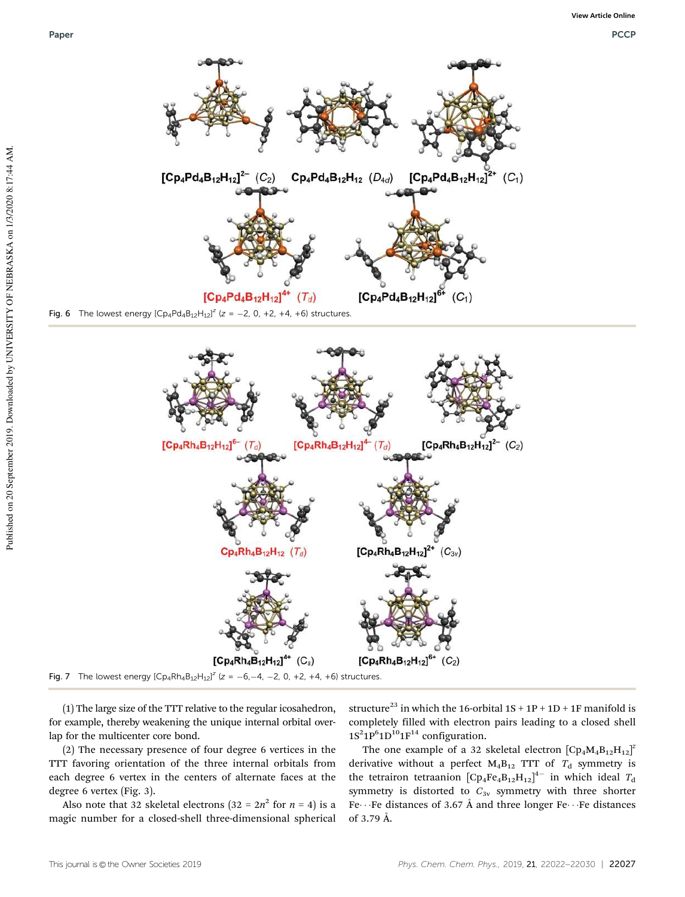

Fig. 7 The lowest energy  $[Cp_4Rh_4B_{12}H_{12}]^2$  (z = -6,-4, -2, 0, +2, +4, +6) structures.

(1) The large size of the TTT relative to the regular icosahedron, for example, thereby weakening the unique internal orbital overlap for the multicenter core bond.

(2) The necessary presence of four degree 6 vertices in the TTT favoring orientation of the three internal orbitals from each degree 6 vertex in the centers of alternate faces at the degree 6 vertex (Fig. 3).

Also note that 32 skeletal electrons  $(32 = 2n^2$  for  $n = 4)$  is a magic number for a closed-shell three-dimensional spherical

structure<sup>23</sup> in which the 16-orbital  $1S + 1P + 1D + 1F$  manifold is completely filled with electron pairs leading to a closed shell  $1S^21P^61D^{10}1F^{14}$  configuration.

The one example of a 32 skeletal electron  $[Cp_4M_4B_{12}H_{12}]^2$ derivative without a perfect  $M_4B_{12}$  TTT of  $T_d$  symmetry is the tetrairon tetraanion  $[Cp_4Fe_4B_{12}H_{12}]^{4-}$  in which ideal  $T_d$ symmetry is distorted to  $C_{3v}$  symmetry with three shorter Fe $\cdots$  Fe distances of 3.67 Å and three longer Fe $\cdots$  Fe distances of 3.79 Å.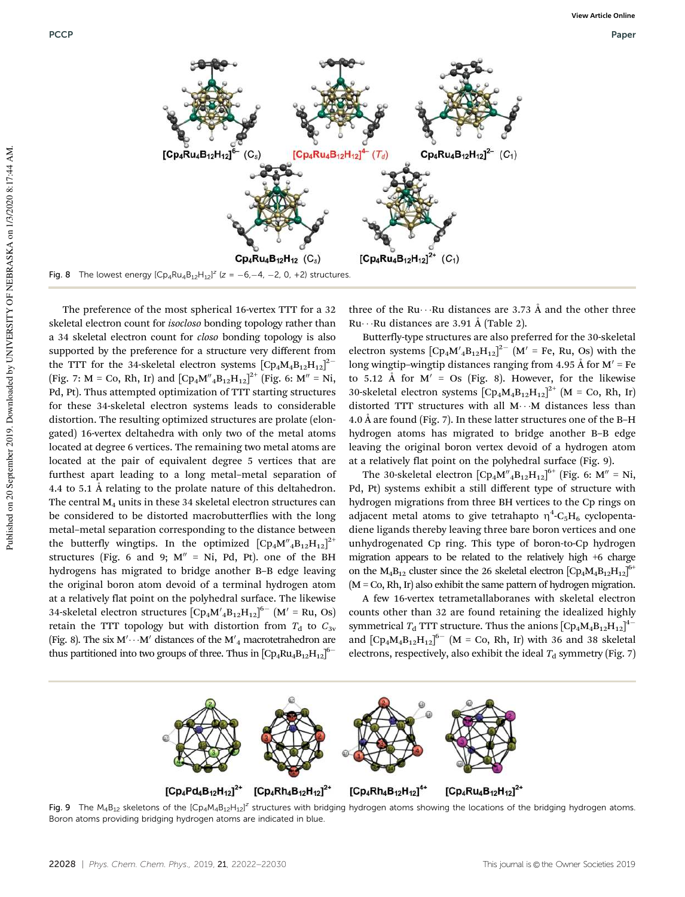

The preference of the most spherical 16-vertex TTT for a 32 skeletal electron count for *isocloso* bonding topology rather than a 34 skeletal electron count for *closo* bonding topology is also supported by the preference for a structure very different from the TTT for the 34-skeletal electron systems  $[Cp_4M_4B_{12}H_{12}]^2$ (Fig. 7: M = Co, Rh, Ir) and  $[Cp_4M''_4B_{12}H_{12}]^{2+}$  (Fig. 6: M'' = Ni, Pd, Pt). Thus attempted optimization of TTT starting structures for these 34-skeletal electron systems leads to considerable distortion. The resulting optimized structures are prolate (elongated) 16-vertex deltahedra with only two of the metal atoms located at degree 6 vertices. The remaining two metal atoms are located at the pair of equivalent degree 5 vertices that are furthest apart leading to a long metal–metal separation of 4.4 to 5.1 Å relating to the prolate nature of this deltahedron. The central  $M_4$  units in these 34 skeletal electron structures can be considered to be distorted macrobutterflies with the long metal–metal separation corresponding to the distance between the butterfly wingtips. In the optimized  $[\text{Cp}_4\text{M}'_4\text{B}_{12}\text{H}_{12}]^{2+}$ structures (Fig. 6 and 9;  $M'' = Ni$ , Pd, Pt). one of the BH hydrogens has migrated to bridge another B–B edge leaving the original boron atom devoid of a terminal hydrogen atom at a relatively flat point on the polyhedral surface. The likewise 34-skeletal electron structures  $\left[\text{Cp}_4 \text{M}'_4 \text{B}_{12} \text{H}_{12}\right]^{6-}$   $\left(\text{M}' = \text{Ru}, \text{Os}\right)$ retain the TTT topology but with distortion from  $T<sub>d</sub>$  to  $C<sub>3v</sub>$ (Fig. 8). The six  $M' \cdots M'$  distances of the  $M'_{4}$  macrotetrahedron are thus partitioned into two groups of three. Thus in  $[Cp_4Ru_4B_{12}H_{12}]^{6-}$ 

three of the Ru $\cdots$ Ru distances are 3.73 Å and the other three  $Ru \cdot \cdot Ru$  distances are 3.91 Å (Table 2).

Butterfly-type structures are also preferred for the 30-skeletal electron systems  $\left[\text{Cp}_4 \text{M}'_4 \text{B}_{12} \text{H}_{12}\right]^2$  (M' = Fe, Ru, Os) with the long wingtip–wingtip distances ranging from 4.95 Å for  $M' = Fe$ to 5.12 Å for  $M' = Os$  (Fig. 8). However, for the likewise 30-skeletal electron systems  $[Cp_4M_4B_{12}H_{12}]^{2+}$  (M = Co, Rh, Ir) distorted TTT structures with all  $M \cdots M$  distances less than 4.0 Å are found (Fig. 7). In these latter structures one of the B–H hydrogen atoms has migrated to bridge another B–B edge leaving the original boron vertex devoid of a hydrogen atom at a relatively flat point on the polyhedral surface (Fig. 9).

The 30-skeletal electron  $\left[\text{Cp}_4\text{M}''_4\text{B}_{12}\text{H}_{12}\right]^{6+}$  (Fig. 6: M'' = Ni, Pd, Pt) systems exhibit a still different type of structure with hydrogen migrations from three BH vertices to the Cp rings on adjacent metal atoms to give tetrahapto  $\eta^4\text{-C}_5\text{H}_6$  cyclopentadiene ligands thereby leaving three bare boron vertices and one unhydrogenated Cp ring. This type of boron-to-Cp hydrogen migration appears to be related to the relatively high +6 charge on the  $M_4B_{12}$  cluster since the 26 skeletal electron  $[Cp_4M_4B_{12}H_{12}]^{6+}$ (M = Co, Rh, Ir) also exhibit the same pattern of hydrogen migration.

A few 16-vertex tetrametallaboranes with skeletal electron counts other than 32 are found retaining the idealized highly symmetrical  $T_d$  TTT structure. Thus the anions  $[Cp_4M_4B_{12}H_{12}]^{4-}$ and  $\left[\text{Cp}_4\text{M}_4\text{B}_{12}\text{H}_{12}\right]^{6-}$   $(M = \text{Co}, \text{Rh}, \text{Ir})$  with 36 and 38 skeletal electrons, respectively, also exhibit the ideal  $T_d$  symmetry (Fig. 7)



Fig. 9 The M<sub>4</sub>B<sub>12</sub> skeletons of the [Cp<sub>4</sub>M<sub>4</sub>B<sub>12</sub>H<sub>12</sub>]<sup>2</sup> structures with bridging hydrogen atoms showing the locations of the bridging hydrogen atoms. Boron atoms providing bridging hydrogen atoms are indicated in blue.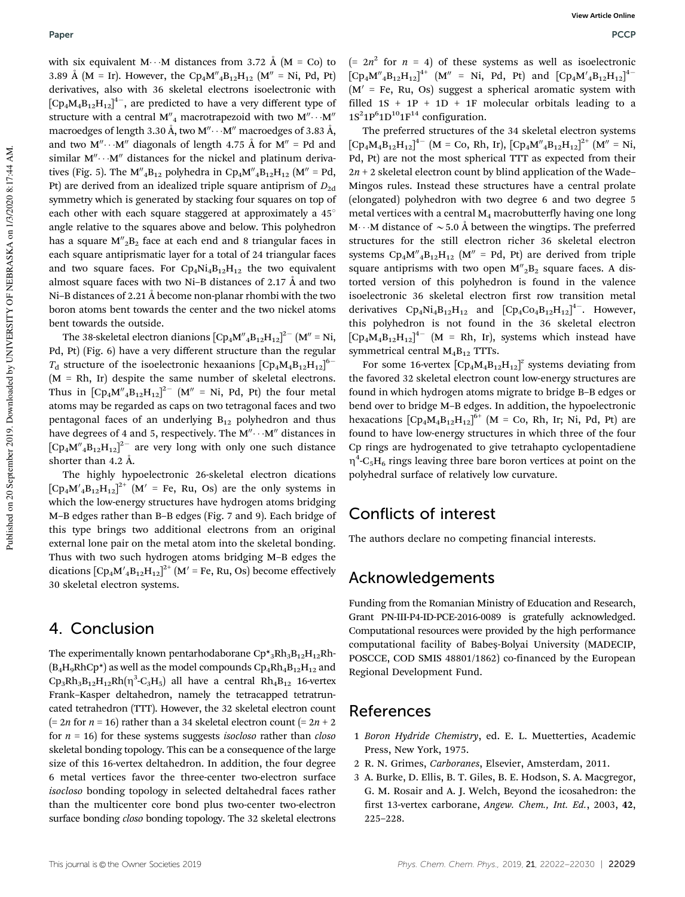with six equivalent M $\cdots$ M distances from 3.72 Å (M = Co) to 3.89 Å (M = Ir). However, the Cp<sub>4</sub>M"<sub>4</sub>B<sub>12</sub>H<sub>12</sub> (M" = Ni, Pd, Pt) derivatives, also with 36 skeletal electrons isoelectronic with  $\left[\text{Cp}_4\text{M}_4\text{B}_{12}\text{H}_{12}\right]^{4-}$ , are predicted to have a very different type of structure with a central M<sup>"</sup><sub>4</sub> macrotrapezoid with two M<sup>".</sup>  $\cdot \cdot M''$ macroedges of length 3.30 Å, two M" $\cdots$ M" macroedges of 3.83 Å, and two  $M'' \cdots M''$  diagonals of length 4.75 Å for  $M'' = Pd$  and similar  $M'' \cdots M''$  distances for the nickel and platinum derivatives (Fig. 5). The  $M''_4B_{12}$  polyhedra in  $Cp_4M''_4B_{12}H_{12}$  (M'' = Pd, Pt) are derived from an idealized triple square antiprism of  $D_{2d}$ symmetry which is generated by stacking four squares on top of each other with each square staggered at approximately a  $45^\circ$ angle relative to the squares above and below. This polyhedron has a square  $M''_2B_2$  face at each end and 8 triangular faces in each square antiprismatic layer for a total of 24 triangular faces and two square faces. For  $\text{Cp}_4\text{Ni}_4\text{B}_{12}\text{H}_{12}$  the two equivalent almost square faces with two Ni–B distances of 2.17 Å and two Ni–B distances of 2.21 Å become non-planar rhombi with the two boron atoms bent towards the center and the two nickel atoms bent towards the outside.

The 38-skeletal electron dianions  $[\text{Cp}_4\text{M}'_4\text{B}_{12}\text{H}_{12}]^{2-}$   $[\text{M}'' = \text{Ni},$ Pd, Pt) (Fig. 6) have a very different structure than the regular  $T<sub>d</sub>$  structure of the isoelectronic hexaanions  $[Cp<sub>4</sub>M<sub>4</sub>B<sub>12</sub>H<sub>12</sub>]<sup>6</sup>$  $(M = Rh, Ir)$  despite the same number of skeletal electrons. Thus in  $\left[\text{Cp}_4\text{M}''_4\text{B}_{12}\text{H}_{12}\right]^{\text{2}-}$   $\left(\text{M}'' = \text{Ni}, \text{Pd}, \text{Pt}\right)$  the four metal atoms may be regarded as caps on two tetragonal faces and two pentagonal faces of an underlying  $B_{12}$  polyhedron and thus have degrees of 4 and 5, respectively. The  $M'' \cdots M''$  distances in  $[Cp_4M''_4B_{12}H_{12}]^2$  are very long with only one such distance shorter than 4.2 Å.

The highly hypoelectronic 26-skeletal electron dications  $[Cp_4M'_{4}B_{12}H_{12}]^{2+}$   $[M' = Fe, Ru, Os]$  are the only systems in which the low-energy structures have hydrogen atoms bridging M–B edges rather than B–B edges (Fig. 7 and 9). Each bridge of this type brings two additional electrons from an original external lone pair on the metal atom into the skeletal bonding. Thus with two such hydrogen atoms bridging M–B edges the dications  $\left[\text{Cp}_4\text{M}'_4\text{B}_{12}\text{H}_{12}\right]^{2+}$   $\left[\text{M}'=\text{Fe}, \text{Ru}, \text{Os}\right)$  become effectively 30 skeletal electron systems.

### 4. Conclusion

The experimentally known pentarhodaborane  $\text{Cp*}_3\text{Rh}_3\text{B}_{12}\text{H}_{12}\text{Rh}$ - $(B_4H_9RhCp^*)$  as well as the model compounds  $Cp_4Rh_4B_{12}H_{12}$  and  $\text{Cp}_3\text{Rh}_3\text{B}_{12}\text{H}_{12}\text{Rh}(\eta^3\text{-C}_3\text{H}_5)$  all have a central  $\text{Rh}_4\text{B}_{12}$  16-vertex Frank–Kasper deltahedron, namely the tetracapped tetratruncated tetrahedron (TTT). However, the 32 skeletal electron count (=  $2n$  for  $n = 16$ ) rather than a 34 skeletal electron count (=  $2n + 2$ for *n* = 16) for these systems suggests *isocloso* rather than *closo* skeletal bonding topology. This can be a consequence of the large size of this 16-vertex deltahedron. In addition, the four degree 6 metal vertices favor the three-center two-electron surface *isocloso* bonding topology in selected deltahedral faces rather than the multicenter core bond plus two-center two-electron surface bonding *closo* bonding topology. The 32 skeletal electrons

 $(= 2n^2$  for  $n = 4$ ) of these systems as well as isoelectronic  $[Cp_4M''_4B_{12}H_{12}]^{4+}$   $(M'' = Ni, Pd, Pt)$  and  $[Cp_4M'_{4}B_{12}H_{12}]^{4-}$  $(M' = Fe, Ru, Os)$  suggest a spherical aromatic system with filled  $1S + 1P + 1D + 1F$  molecular orbitals leading to a  $1S^21P^61D^{10}1F^{14}$  configuration.

The preferred structures of the 34 skeletal electron systems  $[Cp_4M_4B_{12}H_{12}]^{4-}$  (M = Co, Rh, Ir),  $[Cp_4M''_4B_{12}H_{12}]^{2+}$  (M'' = Ni, Pd, Pt) are not the most spherical TTT as expected from their  $2n + 2$  skeletal electron count by blind application of the Wade– Mingos rules. Instead these structures have a central prolate (elongated) polyhedron with two degree 6 and two degree 5 metal vertices with a central  $M_4$  macrobutterfly having one long M $\cdots$ M distance of  $\sim$  5.0 Å between the wingtips. The preferred structures for the still electron richer 36 skeletal electron systems  $Cp_4M''_4B_{12}H_{12}$  (M'' = Pd, Pt) are derived from triple square antiprisms with two open  $M''_2B_2$  square faces. A distorted version of this polyhedron is found in the valence isoelectronic 36 skeletal electron first row transition metal derivatives  $Cp_4Ni_4B_{12}H_{12}$  and  $[Cp_4Co_4B_{12}H_{12}]^{4-}$ . However, this polyhedron is not found in the 36 skeletal electron  $[Cp_4M_4B_{12}H_{12}]^{4-}$  (M = Rh, Ir), systems which instead have symmetrical central  $M_4B_{12}$  TTTs.

For some 16-vertex  $[Cp_4M_4B_{12}H_{12}]^z$  systems deviating from the favored 32 skeletal electron count low-energy structures are found in which hydrogen atoms migrate to bridge B–B edges or bend over to bridge M–B edges. In addition, the hypoelectronic hexacations  $[Cp_4M_4B_{12}H_{12}]^{6+}$  (M = Co, Rh, Ir; Ni, Pd, Pt) are found to have low-energy structures in which three of the four Cp rings are hydrogenated to give tetrahapto cyclopentadiene  $\eta^4$ -C<sub>5</sub>H<sub>6</sub> rings leaving three bare boron vertices at point on the polyhedral surface of relatively low curvature.

### Conflicts of interest

The authors declare no competing financial interests.

### Acknowledgements

Funding from the Romanian Ministry of Education and Research, Grant PN-III-P4-ID-PCE-2016-0089 is gratefully acknowledged. Computational resources were provided by the high performance computational facility of Babeș-Bolyai University (MADECIP, POSCCE, COD SMIS 48801/1862) co-financed by the European Regional Development Fund.

#### References

- 1 *Boron Hydride Chemistry*, ed. E. L. Muetterties, Academic Press, New York, 1975.
- 2 R. N. Grimes, *Carboranes*, Elsevier, Amsterdam, 2011.
- 3 A. Burke, D. Ellis, B. T. Giles, B. E. Hodson, S. A. Macgregor, G. M. Rosair and A. J. Welch, Beyond the icosahedron: the first 13-vertex carborane, *Angew. Chem., Int. Ed.*, 2003, 42, 225–228.